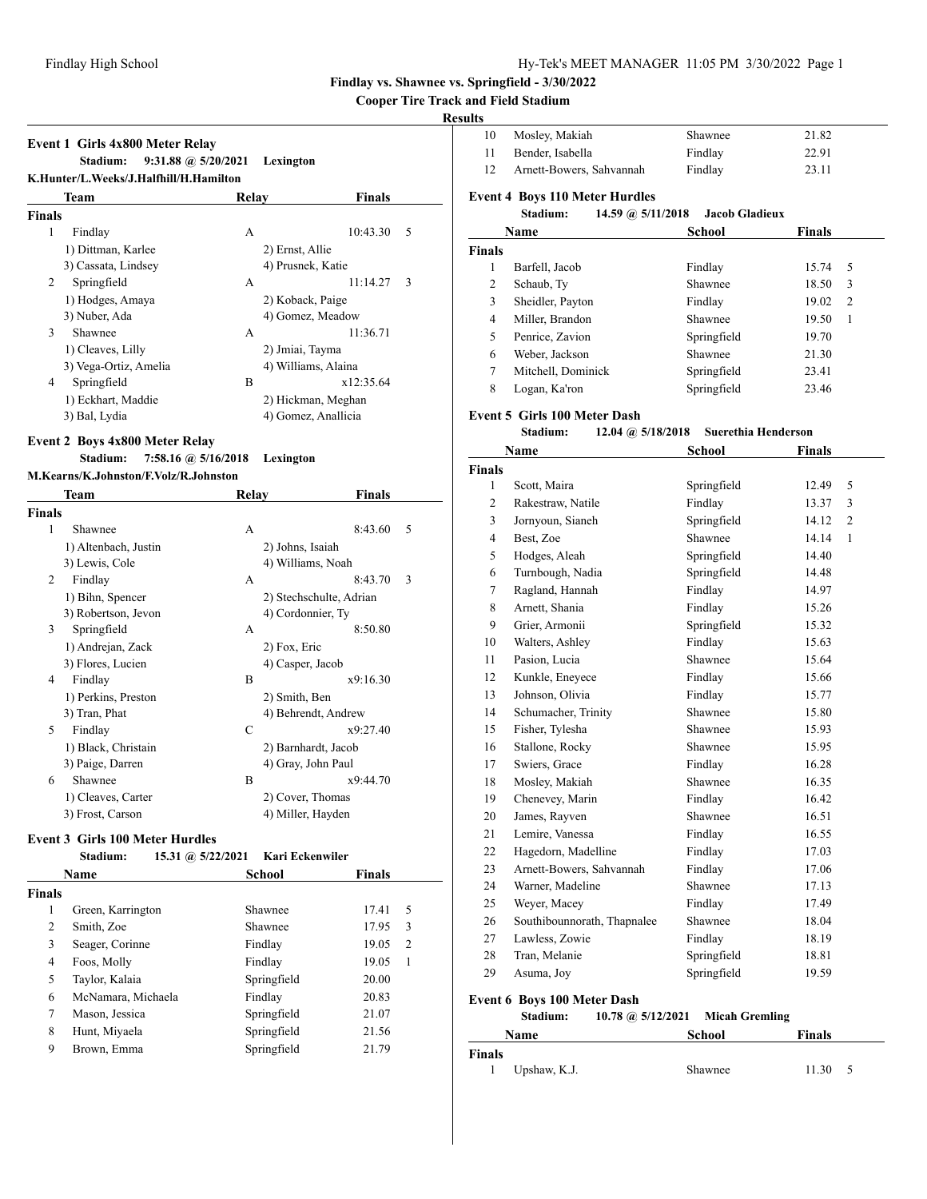#### **Cooper Tire Track and Field Stadium**

#### **Results**

|        | <b>Event 1 Girls 4x800 Meter Relay</b><br>Stadium:<br>K.Hunter/L.Weeks/J.Halfhill/H.Hamilton | $9:31.88$ @ $5/20/2021$ | Lexington           |    |
|--------|----------------------------------------------------------------------------------------------|-------------------------|---------------------|----|
|        | Team                                                                                         | Relav                   | <b>Finals</b>       |    |
| Finals |                                                                                              |                         |                     |    |
| 1      | Findlay                                                                                      | A                       | 10:43.30            | .5 |
|        | 1) Dittman, Karlee                                                                           |                         | 2) Ernst, Allie     |    |
|        | 3) Cassata, Lindsey                                                                          |                         | 4) Prusnek, Katie   |    |
| 2      | Springfield                                                                                  | A                       | 11:14.27            | 3  |
|        | 1) Hodges, Amaya                                                                             |                         | 2) Koback, Paige    |    |
|        | 3) Nuber, Ada                                                                                |                         | 4) Gomez, Meadow    |    |
| 3      | Shawnee                                                                                      | A                       | 11:36.71            |    |
|        | 1) Cleaves, Lilly                                                                            |                         | 2) Jmiai, Tayma     |    |
|        | 3) Vega-Ortiz, Amelia                                                                        |                         | 4) Williams, Alaina |    |
| 4      | Springfield                                                                                  | B                       | x12:35.64           |    |
|        | 1) Eckhart, Maddie                                                                           |                         | 2) Hickman, Meghan  |    |
|        | 3) Bal, Lydia                                                                                |                         | 4) Gomez, Anallicia |    |

## **Event 2 Boys 4x800 Meter Relay**

#### **Stadium: 7:58.16 @ 5/16/2018 Lexington**

#### **M.Kearns/K.Johnston/F.Volz/R.Johnston**

| Team                 | Relay | <b>Finals</b> |                                                                                                                                                                                                                                                         |
|----------------------|-------|---------------|---------------------------------------------------------------------------------------------------------------------------------------------------------------------------------------------------------------------------------------------------------|
| Finals               |       |               |                                                                                                                                                                                                                                                         |
| Shawnee              | A     | 5<br>8:43.60  |                                                                                                                                                                                                                                                         |
| 1) Altenbach, Justin |       |               |                                                                                                                                                                                                                                                         |
| 3) Lewis, Cole       |       |               |                                                                                                                                                                                                                                                         |
| Findlay              | A     | 3<br>8:43.70  |                                                                                                                                                                                                                                                         |
| 1) Bihn, Spencer     |       |               |                                                                                                                                                                                                                                                         |
| 3) Robertson, Jevon  |       |               |                                                                                                                                                                                                                                                         |
| Springfield          | A     | 8:50.80       |                                                                                                                                                                                                                                                         |
| 1) Andrejan, Zack    |       |               |                                                                                                                                                                                                                                                         |
| 3) Flores, Lucien    |       |               |                                                                                                                                                                                                                                                         |
| Findlay              | B     | x9:16.30      |                                                                                                                                                                                                                                                         |
| 1) Perkins, Preston  |       |               |                                                                                                                                                                                                                                                         |
| 3) Tran, Phat        |       |               |                                                                                                                                                                                                                                                         |
| Findlay              | C     | x9:27.40      |                                                                                                                                                                                                                                                         |
| 1) Black, Christain  |       |               |                                                                                                                                                                                                                                                         |
| 3) Paige, Darren     |       |               |                                                                                                                                                                                                                                                         |
| Shawnee              | B     | x9:44.70      |                                                                                                                                                                                                                                                         |
| 1) Cleaves, Carter   |       |               |                                                                                                                                                                                                                                                         |
| 3) Frost, Carson     |       |               |                                                                                                                                                                                                                                                         |
|                      |       |               | 2) Johns, Isaiah<br>4) Williams, Noah<br>2) Stechschulte, Adrian<br>4) Cordonnier, Ty<br>2) Fox, Eric<br>4) Casper, Jacob<br>2) Smith, Ben<br>4) Behrendt, Andrew<br>2) Barnhardt, Jacob<br>4) Gray, John Paul<br>2) Cover, Thomas<br>4) Miller, Hayden |

#### **Event 3 Girls 100 Meter Hurdles**

|               | Stadium:           |  | 15.31 @ 5/22/2021 Kari Eckenwiler |               |   |
|---------------|--------------------|--|-----------------------------------|---------------|---|
|               | Name               |  | School                            | <b>Finals</b> |   |
| <b>Finals</b> |                    |  |                                   |               |   |
| 1             | Green, Karrington  |  | Shawnee                           | 17.41         | 5 |
| 2             | Smith, Zoe         |  | Shawnee                           | 17.95         | 3 |
| 3             | Seager, Corinne    |  | Findlay                           | 19.05         | 2 |
| 4             | Foos, Molly        |  | Findlay                           | 19.05         | 1 |
| 5             | Taylor, Kalaia     |  | Springfield                       | 20.00         |   |
| 6             | McNamara, Michaela |  | Findlay                           | 20.83         |   |
| 7             | Mason, Jessica     |  | Springfield                       | 21.07         |   |
| 8             | Hunt, Miyaela      |  | Springfield                       | 21.56         |   |
| 9             | Brown, Emma        |  | Springfield                       | 21.79         |   |

| Mosley, Makiah           | Shawnee | 21.82 |
|--------------------------|---------|-------|
| Bender, Isabella         | Findlay | 22.91 |
| Arnett-Bowers, Sahvannah | Findlay | 23.11 |

## **Event 4 Boys 110 Meter Hurdles**

|               | Stadium:           | 14.59 @ 5/11/2018 | <b>Jacob Gladieux</b> |               |   |
|---------------|--------------------|-------------------|-----------------------|---------------|---|
|               | <b>Name</b>        |                   | School                | <b>Finals</b> |   |
| <b>Finals</b> |                    |                   |                       |               |   |
| 1             | Barfell, Jacob     |                   | Findlay               | 15.74         | 5 |
| 2             | Schaub, Ty         |                   | Shawnee               | 18.50         | 3 |
| 3             | Sheidler, Payton   |                   | Findlay               | 19.02         | 2 |
| 4             | Miller, Brandon    |                   | Shawnee               | 19.50         | 1 |
| 5             | Penrice, Zavion    |                   | Springfield           | 19.70         |   |
| 6             | Weber, Jackson     |                   | Shawnee               | 21.30         |   |
| 7             | Mitchell, Dominick |                   | Springfield           | 23.41         |   |
| 8             | Logan, Ka'ron      |                   | Springfield           | 23.46         |   |

#### **Event 5 Girls 100 Meter Dash**

**Stadium: 12.04 @ 5/18/2018 Suerethia Henderson**

| Name           |                             | School<br><b>Finals</b> |       |   |
|----------------|-----------------------------|-------------------------|-------|---|
| <b>Finals</b>  |                             |                         |       |   |
| $\mathbf{1}$   | Scott, Maira                | Springfield             | 12.49 | 5 |
| 2              | Rakestraw, Natile           | Findlay                 | 13.37 | 3 |
| 3              | Jornyoun, Sianeh            | Springfield             | 14.12 | 2 |
| $\overline{4}$ | Best, Zoe                   | Shawnee                 | 14.14 | 1 |
| 5              | Hodges, Aleah               | Springfield             | 14.40 |   |
| 6              | Turnbough, Nadia            | Springfield             | 14.48 |   |
| 7              | Ragland, Hannah             | Findlay                 | 14.97 |   |
| 8              | Arnett, Shania              | Findlay                 | 15.26 |   |
| 9              | Grier, Armonii              | Springfield             | 15.32 |   |
| 10             | Walters, Ashley             | Findlay                 | 15.63 |   |
| 11             | Pasion, Lucia               | Shawnee                 | 15.64 |   |
| 12             | Kunkle, Eneyece             | Findlay                 | 15.66 |   |
| 13             | Johnson, Olivia             | Findlay                 | 15.77 |   |
| 14             | Schumacher, Trinity         | Shawnee                 | 15.80 |   |
| 15             | Fisher, Tylesha             | Shawnee                 | 15.93 |   |
| 16             | Stallone, Rocky             | Shawnee                 | 15.95 |   |
| 17             | Swiers, Grace               | Findlay                 | 16.28 |   |
| 18             | Mosley, Makiah              | Shawnee                 | 16.35 |   |
| 19             | Chenevey, Marin             | Findlay                 | 16.42 |   |
| 20             | James, Rayven               | Shawnee                 | 16.51 |   |
| 21             | Lemire, Vanessa             | Findlay                 | 16.55 |   |
| 22             | Hagedorn, Madelline         | Findlay                 | 17.03 |   |
| 23             | Arnett-Bowers, Sahvannah    | Findlay                 | 17.06 |   |
| 24             | Warner, Madeline            | Shawnee                 | 17.13 |   |
| 25             | Weyer, Macey                | Findlay                 | 17.49 |   |
| 26             | Southibounnorath, Thapnalee | Shawnee                 | 18.04 |   |
| 27             | Lawless, Zowie              | Findlay                 | 18.19 |   |
| 28             | Tran, Melanie               | Springfield             | 18.81 |   |
| 29             | Asuma, Joy                  | Springfield             | 19.59 |   |

## **Event 6 Boys 100 Meter Dash**

|               | Stadium:     | 10.78 @ 5/12/2021 Micah Gremling |               |  |
|---------------|--------------|----------------------------------|---------------|--|
|               | <b>Name</b>  | School                           | <b>Finals</b> |  |
| <b>Finals</b> |              |                                  |               |  |
|               | Upshaw, K.J. | Shawnee                          | 11.30         |  |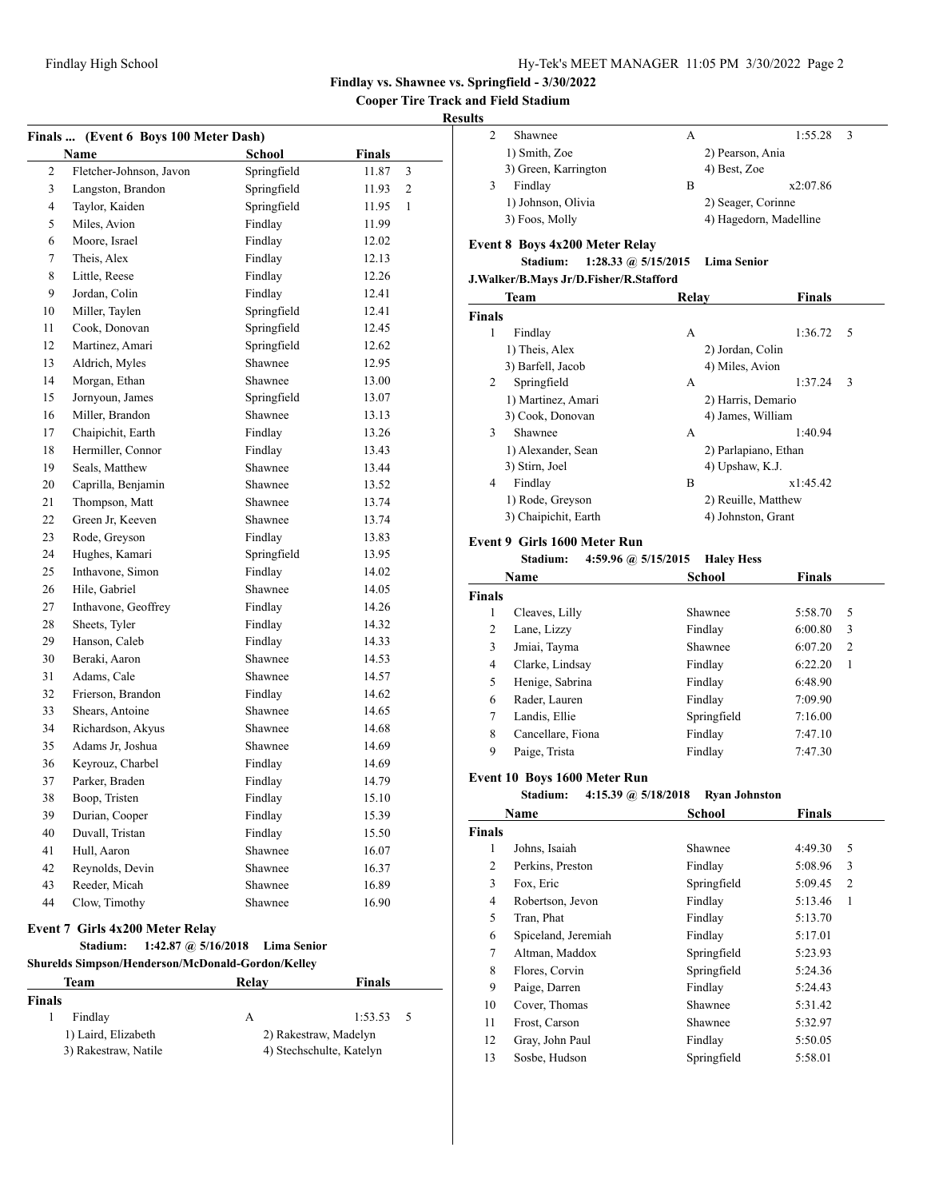**Cooper Tire Track and Field Stadium**

## **Results**

|               | Finals  (Event 6 Boys 100 Meter Dash)             |                       |                          |  |  |  |
|---------------|---------------------------------------------------|-----------------------|--------------------------|--|--|--|
|               | <b>Name</b>                                       | <b>School</b>         | <b>Finals</b>            |  |  |  |
| 2             | Fletcher-Johnson, Javon                           | Springfield           | 11.87<br>3               |  |  |  |
| 3             | Langston, Brandon                                 | Springfield           | 2<br>11.93               |  |  |  |
| 4             | Taylor, Kaiden                                    | Springfield           | 11.95<br>1               |  |  |  |
| 5             | Miles, Avion                                      | Findlay               | 11.99                    |  |  |  |
| 6             | Moore, Israel                                     | Findlay               | 12.02                    |  |  |  |
| 7             | Theis, Alex                                       | Findlay               | 12.13                    |  |  |  |
| 8             | Little, Reese                                     | Findlay               | 12.26                    |  |  |  |
| 9             | Jordan, Colin                                     | Findlay               | 12.41                    |  |  |  |
| 10            | Miller, Taylen                                    | Springfield           | 12.41                    |  |  |  |
| 11            | Cook, Donovan                                     | Springfield           | 12.45                    |  |  |  |
| 12            | Martinez, Amari                                   | Springfield           | 12.62                    |  |  |  |
| 13            | Aldrich, Myles                                    | Shawnee               | 12.95                    |  |  |  |
| 14            | Morgan, Ethan                                     | Shawnee               | 13.00                    |  |  |  |
| 15            | Jornyoun, James                                   | Springfield           | 13.07                    |  |  |  |
| 16            | Miller, Brandon                                   | Shawnee               | 13.13                    |  |  |  |
| 17            | Chaipichit, Earth                                 | Findlay               | 13.26                    |  |  |  |
| 18            | Hermiller, Connor                                 | Findlay               | 13.43                    |  |  |  |
| 19            | Seals, Matthew                                    | Shawnee               | 13.44                    |  |  |  |
| 20            | Caprilla, Benjamin                                | Shawnee               | 13.52                    |  |  |  |
| 21            | Thompson, Matt                                    | Shawnee               | 13.74                    |  |  |  |
| 22            | Green Jr, Keeven                                  | Shawnee               | 13.74                    |  |  |  |
| 23            | Rode, Greyson                                     | Findlay               | 13.83                    |  |  |  |
| 24            | Hughes, Kamari                                    | Springfield           | 13.95                    |  |  |  |
| 25            | Inthavone, Simon                                  | Findlay               | 14.02                    |  |  |  |
| 26            | Hile, Gabriel                                     | Shawnee               | 14.05                    |  |  |  |
| 27            | Inthavone, Geoffrey                               | Findlay               | 14.26                    |  |  |  |
| 28            | Sheets, Tyler                                     | Findlay               | 14.32                    |  |  |  |
| 29            | Hanson, Caleb                                     | Findlay               | 14.33                    |  |  |  |
| 30            | Beraki, Aaron                                     | Shawnee               | 14.53                    |  |  |  |
| 31            | Adams, Cale                                       | Shawnee               | 14.57                    |  |  |  |
| 32            | Frierson, Brandon                                 | Findlay               | 14.62                    |  |  |  |
| 33            | Shears, Antoine                                   | Shawnee               | 14.65                    |  |  |  |
| 34            | Richardson, Akyus                                 | Shawnee               | 14.68                    |  |  |  |
| 35            | Adams Jr, Joshua                                  | Shawnee               | 14.69                    |  |  |  |
| 36            | Keyrouz, Charbel                                  | Findlay               | 14.69                    |  |  |  |
| 37            | Parker, Braden                                    | Findlay               | 14.79                    |  |  |  |
| 38            | Boop, Tristen                                     | Findlav               | 15.10                    |  |  |  |
| 39            | Durian, Cooper                                    | Findlay               | 15.39                    |  |  |  |
| 40            | Duvall, Tristan                                   | Findlay               | 15.50                    |  |  |  |
| 41            | Hull, Aaron                                       | Shawnee               | 16.07                    |  |  |  |
| 42            | Reynolds, Devin                                   | Shawnee               | 16.37                    |  |  |  |
| 43            | Reeder, Micah                                     | Shawnee               | 16.89                    |  |  |  |
| 44            | Clow, Timothy                                     | Shawnee               | 16.90                    |  |  |  |
|               | <b>Event 7 Girls 4x200 Meter Relay</b>            |                       |                          |  |  |  |
|               | 1:42.87 @ $5/16/2018$<br>Stadium:                 | <b>Lima Senior</b>    |                          |  |  |  |
|               | Shurelds Simpson/Henderson/McDonald-Gordon/Kellev |                       |                          |  |  |  |
|               | Team                                              | <b>Relay</b>          | <b>Finals</b>            |  |  |  |
| <b>Finals</b> |                                                   |                       |                          |  |  |  |
| 1             | Findlay                                           | A                     | 5<br>1:53.53             |  |  |  |
|               | 1) Laird, Elizabeth                               | 2) Rakestraw, Madelyn |                          |  |  |  |
|               | 3) Rakestraw, Natile                              |                       | 4) Stechschulte, Katelyn |  |  |  |

| LS. |                      |   |                        |    |  |
|-----|----------------------|---|------------------------|----|--|
|     | Shawnee              | А | 1:55.28                | -3 |  |
|     | 1) Smith, Zoe        |   | 2) Pearson, Ania       |    |  |
|     | 3) Green, Karrington |   | 4) Best, Zoe           |    |  |
|     | Findlay              | В | x2:07.86               |    |  |
|     | 1) Johnson, Olivia   |   | 2) Seager, Corinne     |    |  |
|     | 3) Foos, Molly       |   | 4) Hagedorn, Madelline |    |  |
|     |                      |   |                        |    |  |

## **Event 8 Boys 4x200 Meter Relay**

**Stadium: 1:28.33 @ 5/15/2015 Lima Senior**

|               | <b>Team</b>          | Relav                | <b>Finals</b>  |  |
|---------------|----------------------|----------------------|----------------|--|
| <b>Finals</b> |                      |                      |                |  |
| 1             | Findlay              | A                    | 1:36.72<br>- 5 |  |
|               | 1) Theis, Alex       | 2) Jordan, Colin     |                |  |
|               | 3) Barfell, Jacob    | 4) Miles, Avion      |                |  |
| 2             | Springfield          | A                    | 1:37.24<br>3   |  |
|               | 1) Martinez, Amari   | 2) Harris, Demario   |                |  |
|               | 3) Cook, Donovan     | 4) James, William    |                |  |
| 3             | Shawnee              | A                    | 1:40.94        |  |
|               | 1) Alexander, Sean   | 2) Parlapiano, Ethan |                |  |
|               | 3) Stirn, Joel       | 4) Upshaw, K.J.      |                |  |
| 4             | Findlay              | B                    | x1:45.42       |  |
|               | 1) Rode, Greyson     | 2) Reuille, Matthew  |                |  |
|               | 3) Chaipichit, Earth | 4) Johnston, Grant   |                |  |
|               |                      |                      |                |  |

## **Event 9 Girls 1600 Meter Run**

```
Stadium: 4:59.96 @ 5/15/2015 Haley Hess
```

| Name          |                   | School      | <b>Finals</b> |
|---------------|-------------------|-------------|---------------|
| <b>Finals</b> |                   |             |               |
| 1             | Cleaves, Lilly    | Shawnee     | 5:58.70<br>5  |
| 2             | Lane, Lizzy       | Findlay     | 6:00.80<br>3  |
| 3             | Jmiai, Tayma      | Shawnee     | 6:07.20<br>2  |
| 4             | Clarke, Lindsay   | Findlay     | 6:22.20<br>1  |
| 5             | Henige, Sabrina   | Findlay     | 6:48.90       |
| 6             | Rader, Lauren     | Findlay     | 7:09.90       |
| 7             | Landis, Ellie     | Springfield | 7:16.00       |
| 8             | Cancellare, Fiona | Findlay     | 7:47.10       |
| 9             | Paige, Trista     | Findlay     | 7:47.30       |

#### **Event 10 Boys 1600 Meter Run**

|               | 4:15.39 @ $5/18/2018$<br>Stadium: | <b>Ryan Johnston</b> |              |
|---------------|-----------------------------------|----------------------|--------------|
|               | Name                              | School               | Finals       |
| <b>Finals</b> |                                   |                      |              |
| 1             | Johns, Isaiah                     | Shawnee              | 4:49.30<br>5 |
| 2             | Perkins, Preston                  | Findlay              | 3<br>5:08.96 |
| 3             | Fox, Eric                         | Springfield          | 2<br>5:09.45 |
| 4             | Robertson, Jevon                  | Findlay              | 5:13.46<br>1 |
| 5             | Tran, Phat                        | Findlay              | 5:13.70      |
| 6             | Spiceland, Jeremiah               | Findlay              | 5:17.01      |
| 7             | Altman, Maddox                    | Springfield          | 5:23.93      |
| 8             | Flores, Corvin                    | Springfield          | 5:24.36      |
| 9             | Paige, Darren                     | Findlay              | 5:24.43      |
| 10            | Cover, Thomas                     | Shawnee              | 5:31.42      |
| 11            | Frost, Carson                     | Shawnee              | 5:32.97      |
| 12            | Gray, John Paul                   | Findlay              | 5:50.05      |
| 13            | Sosbe, Hudson                     | Springfield          | 5:58.01      |
|               |                                   |                      |              |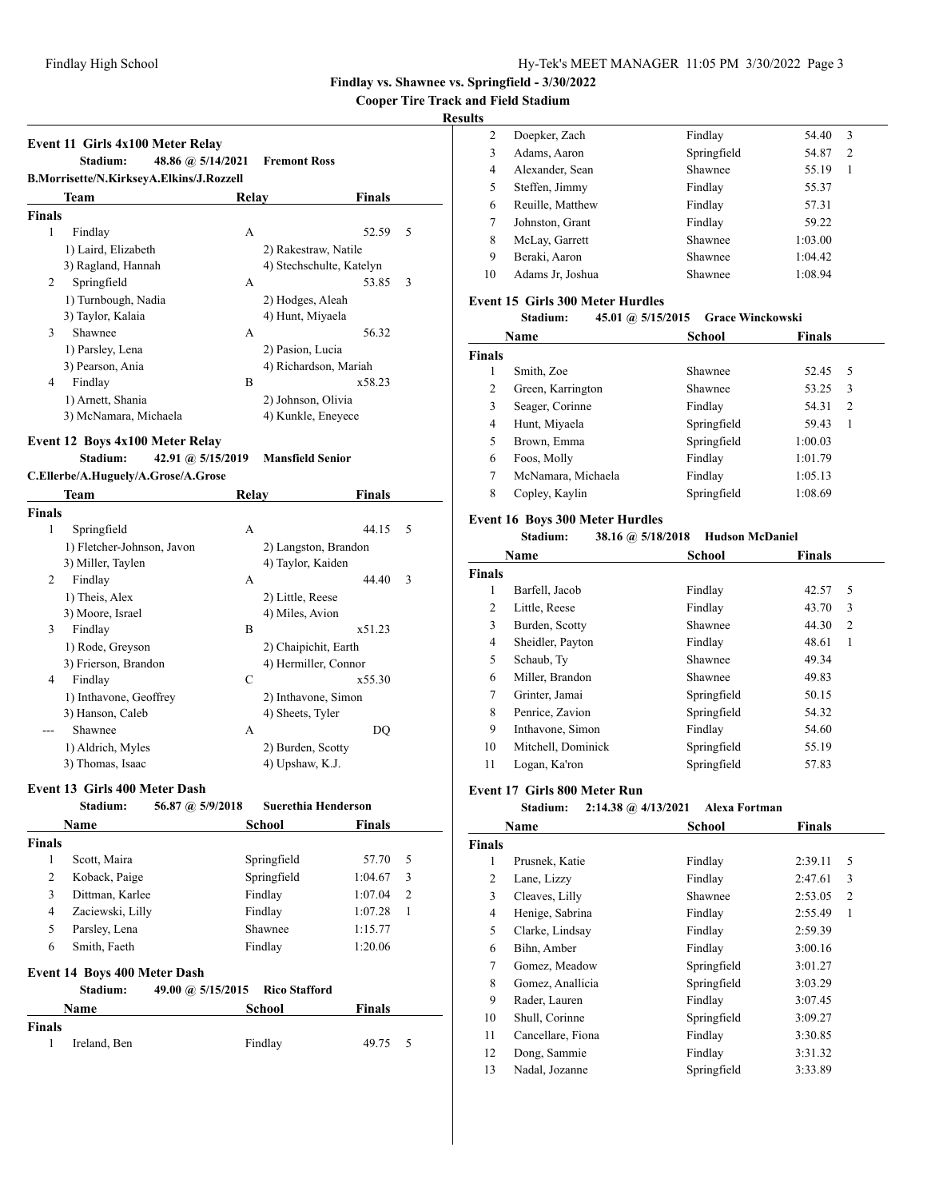**Cooper Tire Track and Field Stadium**

## **Results**

|               | Event 11 Girls 4x100 Meter Relay<br>Stadium:<br>48.86 @ 5/14/2021 |       | <b>Fremont Ross</b>      |   |
|---------------|-------------------------------------------------------------------|-------|--------------------------|---|
|               | B.Morrisette/N.KirkseyA.Elkins/J.Rozzell<br>Team                  | Relay | Finals                   |   |
| <b>Finals</b> |                                                                   |       |                          |   |
| 1             | Findlay                                                           | A     | 52.59                    | 5 |
|               | 1) Laird, Elizabeth                                               |       | 2) Rakestraw, Natile     |   |
|               | 3) Ragland, Hannah                                                |       | 4) Stechschulte, Katelyn |   |
| 2             | Springfield                                                       | A     | 53.85                    | 3 |
|               | 1) Turnbough, Nadia                                               |       | 2) Hodges, Aleah         |   |
|               | 3) Taylor, Kalaia                                                 |       | 4) Hunt, Miyaela         |   |
| 3             | Shawnee                                                           | A     | 56.32                    |   |
|               | 1) Parsley, Lena                                                  |       | 2) Pasion, Lucia         |   |
|               | 3) Pearson, Ania                                                  |       | 4) Richardson, Mariah    |   |
| 4             | Findlay                                                           | B     | x58.23                   |   |
|               | 1) Arnett, Shania                                                 |       | 2) Johnson, Olivia       |   |
|               | 3) McNamara, Michaela                                             |       | 4) Kunkle, Eneyece       |   |
|               |                                                                   |       |                          |   |

## **Event 12 Boys 4x100 Meter Relay**

**Stadium: 42.91 @ 5/15/2019 Mansfield Senior**

**C.Ellerbe/A.Huguely/A.Grose/A.Grose**

|        | Team                       | <b>Relay</b> | <b>Finals</b>        |   |
|--------|----------------------------|--------------|----------------------|---|
| Finals |                            |              |                      |   |
| 1      | Springfield                | A            | 44.15                | 5 |
|        | 1) Fletcher-Johnson, Javon |              | 2) Langston, Brandon |   |
|        | 3) Miller, Taylen          |              | 4) Taylor, Kaiden    |   |
| 2      | Findlay                    | A            | 44.40                | 3 |
|        | 1) Theis, Alex             |              | 2) Little, Reese     |   |
|        | 3) Moore, Israel           |              | 4) Miles, Avion      |   |
| 3      | Findlay                    | B            | x51.23               |   |
|        | 1) Rode, Greyson           |              | 2) Chaipichit, Earth |   |
|        | 3) Frierson, Brandon       |              | 4) Hermiller, Connor |   |
| 4      | Findlay                    | C            | x55.30               |   |
|        | 1) Inthavone, Geoffrey     |              | 2) Inthavone, Simon  |   |
|        | 3) Hanson, Caleb           |              | 4) Sheets, Tyler     |   |
|        | Shawnee                    | A            | DQ                   |   |
|        | 1) Aldrich, Myles          |              | 2) Burden, Scotty    |   |
|        | 3) Thomas, Isaac           |              | 4) Upshaw, K.J.      |   |

## **Event 13 Girls 400 Meter Dash**

|               | Stadium:                            | 56.87 @ 5/9/2018  | <b>Suerethia Henderson</b> |               |                |
|---------------|-------------------------------------|-------------------|----------------------------|---------------|----------------|
|               | Name                                |                   | School                     | <b>Finals</b> |                |
| <b>Finals</b> |                                     |                   |                            |               |                |
| 1             | Scott, Maira                        |                   | Springfield                | 57.70         | 5              |
| 2             | Koback, Paige                       |                   | Springfield                | 1:04.67       | 3              |
| 3             | Dittman, Karlee                     |                   | Findlay                    | 1:07.04       | $\mathfrak{D}$ |
| 4             | Zaciewski, Lilly                    |                   | Findlay                    | 1:07.28       | 1              |
| 5             | Parsley, Lena                       |                   | Shawnee                    | 1:15.77       |                |
| 6             | Smith, Faeth                        |                   | Findlay                    | 1:20.06       |                |
|               | <b>Event 14 Boys 400 Meter Dash</b> |                   |                            |               |                |
|               | Stadium:                            | 49.00 @ 5/15/2015 | <b>Rico Stafford</b>       |               |                |
|               | Name                                |                   | School                     | <b>Finals</b> |                |
| <b>Finals</b> |                                     |                   |                            |               |                |
| 1             | Ireland, Ben                        |                   | Findlay                    | 49.75         | 5              |
|               |                                     |                   |                            |               |                |

| 2  | Doepker, Zach    | Findlay     | 54.40   | 3              |
|----|------------------|-------------|---------|----------------|
| 3  | Adams, Aaron     | Springfield | 54.87   | $\overline{2}$ |
| 4  | Alexander, Sean  | Shawnee     | 55.19   |                |
| 5  | Steffen, Jimmy   | Findlay     | 55.37   |                |
| 6  | Reuille, Matthew | Findlay     | 57.31   |                |
| 7  | Johnston, Grant  | Findlay     | 59.22   |                |
| 8  | McLay, Garrett   | Shawnee     | 1:03.00 |                |
| 9  | Beraki, Aaron    | Shawnee     | 1:04.42 |                |
| 10 | Adams Jr. Joshua | Shawnee     | 1:08.94 |                |
|    |                  |             |         |                |

#### **Event 15 Girls 300 Meter Hurdles**

| 45.01 @ $5/15/2015$<br><b>Stadium:</b> | Grace Winckowski |
|----------------------------------------|------------------|
|----------------------------------------|------------------|

|               | Name               | School      | <b>Finals</b>           |
|---------------|--------------------|-------------|-------------------------|
| <b>Finals</b> |                    |             |                         |
| 1             | Smith, Zoe         | Shawnee     | 52.45<br>5              |
| 2             | Green, Karrington  | Shawnee     | 53.25<br>3              |
| 3             | Seager, Corinne    | Findlay     | 54.31<br>$\overline{c}$ |
| 4             | Hunt, Miyaela      | Springfield | 59.43<br>1              |
| 5             | Brown, Emma        | Springfield | 1:00.03                 |
| 6             | Foos, Molly        | Findlay     | 1:01.79                 |
| 7             | McNamara, Michaela | Findlay     | 1:05.13                 |
| 8             | Copley, Kaylin     | Springfield | 1:08.69                 |

#### **Event 16 Boys 300 Meter Hurdles**

#### **Stadium: 38.16 @ 5/18/2018 Hudson McDaniel**

|               | Name               | School      | <b>Finals</b> |  |
|---------------|--------------------|-------------|---------------|--|
| <b>Finals</b> |                    |             |               |  |
| 1             | Barfell, Jacob     | Findlay     | 5<br>42.57    |  |
| 2             | Little, Reese      | Findlay     | 3<br>43.70    |  |
| 3             | Burden, Scotty     | Shawnee     | 44.30<br>2    |  |
| 4             | Sheidler, Payton   | Findlay     | 48.61<br>1    |  |
| 5             | Schaub, Ty         | Shawnee     | 49.34         |  |
| 6             | Miller, Brandon    | Shawnee     | 49.83         |  |
| 7             | Grinter, Jamai     | Springfield | 50.15         |  |
| 8             | Penrice, Zavion    | Springfield | 54.32         |  |
| 9             | Inthavone, Simon   | Findlay     | 54.60         |  |
| 10            | Mitchell, Dominick | Springfield | 55.19         |  |
| 11            | Logan, Ka'ron      | Springfield | 57.83         |  |

#### **Event 17 Girls 800 Meter Run**

#### **Stadium: 2:14.38 @ 4/13/2021 Alexa Fortman**

|               | Name              | <b>School</b> | <b>Finals</b>             |  |
|---------------|-------------------|---------------|---------------------------|--|
| <b>Finals</b> |                   |               |                           |  |
| 1             | Prusnek, Katie    | Findlay       | 2:39.11<br>5              |  |
| 2             | Lane, Lizzy       | Findlay       | 3<br>2:47.61              |  |
| 3             | Cleaves, Lilly    | Shawnee       | 2:53.05<br>$\overline{2}$ |  |
| 4             | Henige, Sabrina   | Findlay       | 2:55.49<br>1              |  |
| 5             | Clarke, Lindsay   | Findlay       | 2:59.39                   |  |
| 6             | Bihn, Amber       | Findlay       | 3:00.16                   |  |
| 7             | Gomez, Meadow     | Springfield   | 3:01.27                   |  |
| 8             | Gomez, Anallicia  | Springfield   | 3:03.29                   |  |
| 9             | Rader, Lauren     | Findlay       | 3:07.45                   |  |
| 10            | Shull, Corinne    | Springfield   | 3:09.27                   |  |
| 11            | Cancellare, Fiona | Findlay       | 3:30.85                   |  |
| 12            | Dong, Sammie      | Findlay       | 3:31.32                   |  |
| 13            | Nadal, Jozanne    | Springfield   | 3:33.89                   |  |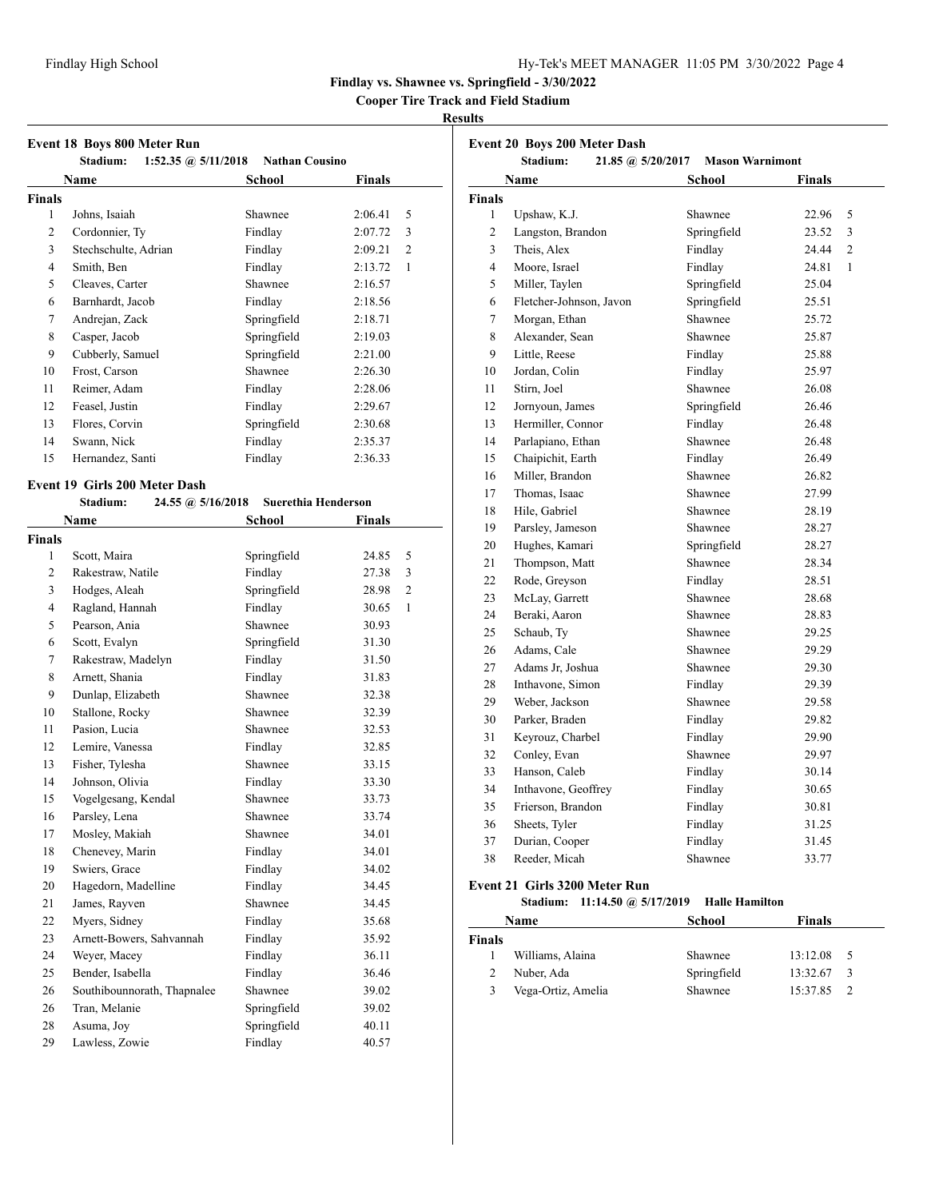**Cooper Tire Track and Field Stadium**

#### **Results**

|                | 1:52.35 @ $5/11/2018$<br>Stadium: | <b>Nathan Cousino</b> |                         |
|----------------|-----------------------------------|-----------------------|-------------------------|
|                | Name                              | School                | <b>Finals</b>           |
| <b>Finals</b>  |                                   |                       |                         |
| 1              | Johns, Isaiah                     | Shawnee               | 2:06.41<br>5            |
| $\overline{2}$ | Cordonnier, Ty                    | Findlay               | 2:07.72<br>3            |
| 3              | Stechschulte, Adrian              | Findlay               | 2:09.21<br>2            |
| 4              | Smith, Ben                        | Findlay               | 2:13.72<br>$\mathbf{1}$ |
| 5              | Cleaves, Carter                   | Shawnee               | 2:16.57                 |
| 6              | Barnhardt, Jacob                  | Findlay               | 2:18.56                 |
| 7              | Andrejan, Zack                    | Springfield           | 2:18.71                 |
| 8              | Casper, Jacob                     | Springfield           | 2:19.03                 |
| 9              | Cubberly, Samuel                  | Springfield           | 2:21.00                 |
| 10             | Frost, Carson                     | Shawnee               | 2:26.30                 |
| 11             | Reimer, Adam                      | Findlay               | 2:28.06                 |
| 12             | Feasel, Justin                    | Findlay               | 2:29.67                 |
| 13             | Flores, Corvin                    | Springfield           | 2:30.68                 |
| 14             | Swann, Nick                       | Findlay               | 2:35.37                 |
| 15             | Hernandez, Santi                  | Findlay               | 2:36.33                 |

|                | Name                        | School      | <b>Finals</b> |                |
|----------------|-----------------------------|-------------|---------------|----------------|
| Finals         |                             |             |               |                |
| 1              | Scott, Maira                | Springfield | 24.85         | 5              |
| $\overline{2}$ | Rakestraw, Natile           | Findlay     | 27.38         | 3              |
| 3              | Hodges, Aleah               | Springfield | 28.98         | $\overline{2}$ |
| 4              | Ragland, Hannah             | Findlay     | 30.65         | $\mathbf{1}$   |
| 5              | Pearson, Ania               | Shawnee     | 30.93         |                |
| 6              | Scott, Evalyn               | Springfield | 31.30         |                |
| 7              | Rakestraw, Madelyn          | Findlay     | 31.50         |                |
| 8              | Arnett, Shania              | Findlay     | 31.83         |                |
| 9              | Dunlap, Elizabeth           | Shawnee     | 32.38         |                |
| 10             | Stallone, Rocky             | Shawnee     | 32.39         |                |
| 11             | Pasion, Lucia               | Shawnee     | 32.53         |                |
| 12             | Lemire, Vanessa             | Findlay     | 32.85         |                |
| 13             | Fisher, Tylesha             | Shawnee     | 33.15         |                |
| 14             | Johnson, Olivia             | Findlay     | 33.30         |                |
| 15             | Vogelgesang, Kendal         | Shawnee     | 33.73         |                |
| 16             | Parsley, Lena               | Shawnee     | 33.74         |                |
| 17             | Mosley, Makiah              | Shawnee     | 34.01         |                |
| 18             | Chenevey, Marin             | Findlay     | 34.01         |                |
| 19             | Swiers, Grace               | Findlay     | 34.02         |                |
| 20             | Hagedorn, Madelline         | Findlay     | 34.45         |                |
| 21             | James, Rayven               | Shawnee     | 34.45         |                |
| 22             | Myers, Sidney               | Findlay     | 35.68         |                |
| 23             | Arnett-Bowers, Sahvannah    | Findlay     | 35.92         |                |
| 24             | Weyer, Macey                | Findlay     | 36.11         |                |
| 25             | Bender, Isabella            | Findlay     | 36.46         |                |
| 26             | Southibounnorath, Thapnalee | Shawnee     | 39.02         |                |
| 26             | Tran, Melanie               | Springfield | 39.02         |                |
| 28             | Asuma, Joy                  | Springfield | 40.11         |                |
| 29             | Lawless, Zowie              | Findlay     | 40.57         |                |

| <b>Event 20 Boys 200 Meter Dash</b><br>Stadium:<br><b>Mason Warnimont</b><br>$21.85 \; \textcircled{a}$ , 5/20/2017 |                         |             |                         |
|---------------------------------------------------------------------------------------------------------------------|-------------------------|-------------|-------------------------|
|                                                                                                                     | <b>Name</b>             | School      | <b>Finals</b>           |
| <b>Finals</b>                                                                                                       |                         |             |                         |
| 1                                                                                                                   | Upshaw, K.J.            | Shawnee     | 22.96<br>5              |
| $\overline{2}$                                                                                                      | Langston, Brandon       | Springfield | 23.52<br>3              |
| 3                                                                                                                   | Theis, Alex             | Findlay     | 24.44<br>$\overline{2}$ |
| $\overline{\mathcal{L}}$                                                                                            | Moore, Israel           | Findlay     | 24.81<br>1              |
| 5                                                                                                                   | Miller, Taylen          | Springfield | 25.04                   |
| 6                                                                                                                   | Fletcher-Johnson, Javon | Springfield | 25.51                   |
| 7                                                                                                                   | Morgan, Ethan           | Shawnee     | 25.72                   |
| 8                                                                                                                   | Alexander, Sean         | Shawnee     | 25.87                   |
| 9                                                                                                                   | Little, Reese           | Findlay     | 25.88                   |
| 10                                                                                                                  | Jordan, Colin           | Findlay     | 25.97                   |
| 11                                                                                                                  | Stirn, Joel             | Shawnee     | 26.08                   |
| 12                                                                                                                  | Jornyoun, James         | Springfield | 26.46                   |
| 13                                                                                                                  | Hermiller, Connor       | Findlay     | 26.48                   |
| 14                                                                                                                  | Parlapiano, Ethan       | Shawnee     | 26.48                   |
| 15                                                                                                                  | Chaipichit, Earth       | Findlay     | 26.49                   |
| 16                                                                                                                  | Miller, Brandon         | Shawnee     | 26.82                   |
| 17                                                                                                                  | Thomas, Isaac           | Shawnee     | 27.99                   |
| 18                                                                                                                  | Hile, Gabriel           | Shawnee     | 28.19                   |
| 19                                                                                                                  | Parsley, Jameson        | Shawnee     | 28.27                   |
| 20                                                                                                                  | Hughes, Kamari          | Springfield | 28.27                   |
| 21                                                                                                                  | Thompson, Matt          | Shawnee     | 28.34                   |
| 22                                                                                                                  | Rode, Greyson           | Findlay     | 28.51                   |
| 23                                                                                                                  | McLay, Garrett          | Shawnee     | 28.68                   |
| 24                                                                                                                  | Beraki, Aaron           | Shawnee     | 28.83                   |
| 25                                                                                                                  | Schaub, Ty              | Shawnee     | 29.25                   |
| 26                                                                                                                  | Adams, Cale             | Shawnee     | 29.29                   |
| 27                                                                                                                  | Adams Jr. Joshua        | Shawnee     | 29.30                   |
| 28                                                                                                                  | Inthavone, Simon        | Findlay     | 29.39                   |
| 29                                                                                                                  | Weber, Jackson          | Shawnee     | 29.58                   |
| 30                                                                                                                  | Parker, Braden          | Findlay     | 29.82                   |
| 31                                                                                                                  | Keyrouz, Charbel        | Findlay     | 29.90                   |
| 32                                                                                                                  | Conley, Evan            | Shawnee     | 29.97                   |
| 33                                                                                                                  | Hanson, Caleb           | Findlay     | 30.14                   |
| 34                                                                                                                  | Inthavone, Geoffrey     | Findlay     | 30.65                   |
| 35                                                                                                                  | Frierson, Brandon       | Findlay     | 30.81                   |
| 36                                                                                                                  | Sheets, Tyler           | Findlay     | 31.25                   |
| 37                                                                                                                  | Durian, Cooper          | Findlay     | 31.45                   |
| 38                                                                                                                  | Reeder, Micah           | Shawnee     | 33.77                   |

# **Event 21 Girls 3200 Meter Run**

**Stadium: 11:14.50 @ 5/17/2019 Halle Hamilton**

| Name   |                    | School      | <b>Finals</b>             |  |
|--------|--------------------|-------------|---------------------------|--|
| Finals |                    |             |                           |  |
|        | Williams, Alaina   | Shawnee     | 13:12.08<br>- 5           |  |
|        | Nuber, Ada         | Springfield | 13:32.67<br>$\mathcal{R}$ |  |
| 3      | Vega-Ortiz, Amelia | Shawnee     | 15:37.85                  |  |
|        |                    |             |                           |  |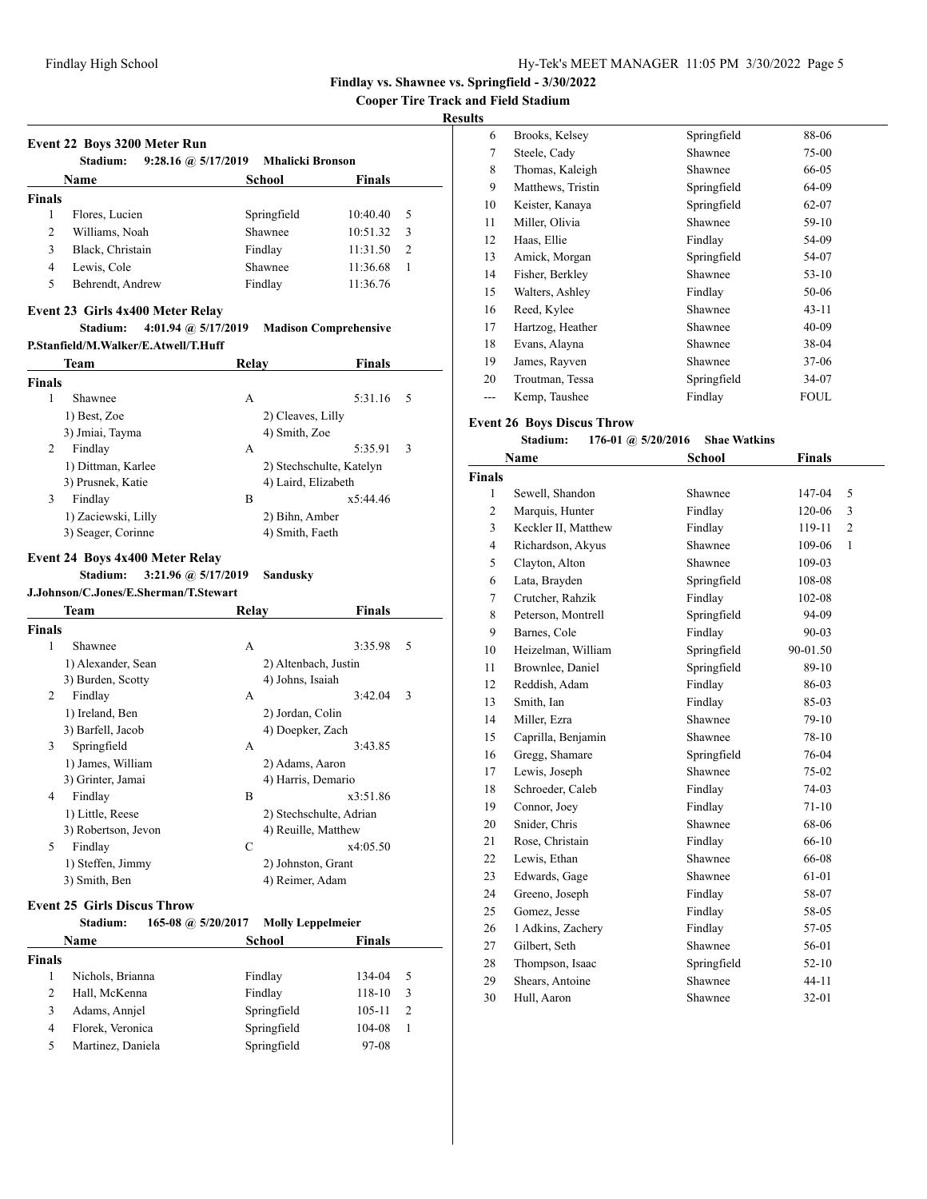**Cooper Tire Track and Field Stadium**

## **Results**

|               | <b>Stadium:</b><br>9:28.16 @ 5/17/2019                                                                      | <b>Mhalicki Bronson</b>    |                              |
|---------------|-------------------------------------------------------------------------------------------------------------|----------------------------|------------------------------|
|               | Name                                                                                                        | School                     | <b>Finals</b>                |
| <b>Finals</b> |                                                                                                             |                            |                              |
| 1             | Flores, Lucien                                                                                              | Springfield                | 10:40.40<br>5                |
| 2             | Williams, Noah                                                                                              | Shawnee                    | 10:51.32<br>3                |
| 3             | Black, Christain                                                                                            | Findlay                    | $\overline{c}$<br>11:31.50   |
| 4             | Lewis, Cole                                                                                                 | Shawnee                    | 11:36.68<br>1                |
| 5             | Behrendt, Andrew                                                                                            | Findlay                    | 11:36.76                     |
|               | Event 23 Girls 4x400 Meter Relay                                                                            |                            |                              |
|               | 4:01.94 @ 5/17/2019<br>Stadium:                                                                             |                            | <b>Madison Comprehensive</b> |
|               | P.Stanfield/M.Walker/E.Atwell/T.Huff                                                                        |                            |                              |
|               | <b>Team</b>                                                                                                 | Relay                      | Finals                       |
| <b>Finals</b> |                                                                                                             |                            |                              |
| 1             | Shawnee                                                                                                     | A                          | 5:31.16<br>5                 |
|               | 1) Best, Zoe                                                                                                | 2) Cleaves, Lilly          |                              |
|               | 3) Jmiai, Tayma                                                                                             | 4) Smith, Zoe              |                              |
| 2             | Findlay                                                                                                     | A                          | 5:35.91<br>3                 |
|               | 1) Dittman, Karlee                                                                                          |                            | 2) Stechschulte, Katelyn     |
|               | 3) Prusnek, Katie                                                                                           |                            | 4) Laird, Elizabeth          |
| 3             | Findlay                                                                                                     | B                          | x5:44.46                     |
|               | 1) Zaciewski, Lilly                                                                                         | 2) Bihn, Amber             |                              |
|               | 3) Seager, Corinne                                                                                          | 4) Smith, Faeth            |                              |
|               | Event 24 Boys 4x400 Meter Relay<br>3:21.96 @ 5/17/2019<br>Stadium:<br>J.Johnson/C.Jones/E.Sherman/T.Stewart | Sandusky                   |                              |
|               | Team                                                                                                        | Relay                      | Finals                       |
| <b>Finals</b> |                                                                                                             |                            |                              |
| 1             | Shawnee                                                                                                     | A                          | 3:35.98<br>5                 |
|               | 1) Alexander, Sean                                                                                          |                            | 2) Altenbach, Justin         |
| 2             | 3) Burden, Scotty                                                                                           | 4) Johns, Isaiah<br>A      | 3:42.04<br>3                 |
|               | Findlay                                                                                                     |                            |                              |
|               | 1) Ireland, Ben<br>3) Barfell, Jacob                                                                        | 2) Jordan, Colin           | 4) Doepker, Zach             |
| 3             | Springfield                                                                                                 | A                          | 3:43.85                      |
|               | 1) James, William                                                                                           |                            | 2) Adams, Aaron              |
|               | 3) Grinter, Jamai                                                                                           |                            | 4) Harris, Demario           |
| 4             | Findlay                                                                                                     | B                          | x3:51.86                     |
|               | 1) Little, Reese                                                                                            |                            | 2) Stechschulte, Adrian      |
|               | 3) Robertson, Jevon                                                                                         |                            | 4) Reuille, Matthew          |
| 5             | Findlay                                                                                                     | C                          | x4:05.50                     |
|               | 1) Steffen, Jimmy                                                                                           |                            | 2) Johnston, Grant           |
|               | 3) Smith, Ben                                                                                               |                            | 4) Reimer, Adam              |
|               | <b>Event 25 Girls Discus Throw</b>                                                                          |                            |                              |
|               | Stadium:<br>165-08 @ $5/20/2017$                                                                            |                            | <b>Molly Leppelmeier</b>     |
|               | Name                                                                                                        | <b>School</b>              | Finals                       |
| <b>Finals</b> |                                                                                                             |                            |                              |
| 1             | Nichols, Brianna                                                                                            | Findlay                    | 134-04<br>5                  |
| 2             | Hall, McKenna                                                                                               | Findlay                    | 118-10<br>3                  |
| 3             | Adams, Annjel                                                                                               | Springfield                | $\overline{2}$<br>105-11     |
| 4             | Florek, Veronica<br>Martinez, Daniela                                                                       | Springfield<br>Springfield | 104-08<br>1                  |

| Brooks, Kelsey    | Springfield | 88-06     |  |
|-------------------|-------------|-----------|--|
| Steele, Cady      | Shawnee     | 75-00     |  |
| Thomas, Kaleigh   | Shawnee     | 66-05     |  |
| Matthews, Tristin | Springfield | 64-09     |  |
| Keister, Kanaya   | Springfield | 62-07     |  |
| Miller, Olivia    | Shawnee     | 59-10     |  |
| Haas, Ellie       | Findlay     | 54-09     |  |
| Amick, Morgan     | Springfield | 54-07     |  |
| Fisher, Berkley   | Shawnee     | $53-10$   |  |
| Walters, Ashley   | Findlay     | 50-06     |  |
| Reed, Kylee       | Shawnee     | $43 - 11$ |  |
| Hartzog, Heather  | Shawnee     | $40 - 09$ |  |
| Evans, Alayna     | Shawnee     | 38-04     |  |
| James, Rayven     | Shawnee     | 37-06     |  |
| Troutman, Tessa   | Springfield | 34-07     |  |
| Kemp, Taushee     | Findlay     | FOUL      |  |
|                   |             |           |  |

## **Event 26 Boys Discus Throw**

#### **Stadium: 176-01 @ 5/20/2016 Shae Watkins**

|                | Name                | <b>School</b> | <b>Finals</b> |   |
|----------------|---------------------|---------------|---------------|---|
| <b>Finals</b>  |                     |               |               |   |
| 1              | Sewell, Shandon     | Shawnee       | 147-04        | 5 |
| 2              | Marquis, Hunter     | Findlay       | 120-06        | 3 |
| 3              | Keckler II, Matthew | Findlay       | 119-11        | 2 |
| $\overline{4}$ | Richardson, Akyus   | Shawnee       | 109-06        | 1 |
| 5              | Clayton, Alton      | Shawnee       | 109-03        |   |
| 6              | Lata, Brayden       | Springfield   | 108-08        |   |
| $\overline{7}$ | Crutcher, Rahzik    | Findlay       | 102-08        |   |
| 8              | Peterson, Montrell  | Springfield   | 94-09         |   |
| 9              | Barnes, Cole        | Findlay       | 90-03         |   |
| 10             | Heizelman, William  | Springfield   | 90-01.50      |   |
| 11             | Brownlee, Daniel    | Springfield   | 89-10         |   |
| 12             | Reddish, Adam       | Findlay       | 86-03         |   |
| 13             | Smith, Ian          | Findlay       | 85-03         |   |
| 14             | Miller, Ezra        | Shawnee       | $79-10$       |   |
| 15             | Caprilla, Benjamin  | Shawnee       | 78-10         |   |
| 16             | Gregg, Shamare      | Springfield   | 76-04         |   |
| 17             | Lewis, Joseph       | Shawnee       | 75-02         |   |
| 18             | Schroeder, Caleb    | Findlay       | 74-03         |   |
| 19             | Connor, Joey        | Findlay       | $71-10$       |   |
| 20             | Snider, Chris       | Shawnee       | 68-06         |   |
| 21             | Rose, Christain     | Findlay       | 66-10         |   |
| 22             | Lewis, Ethan        | Shawnee       | 66-08         |   |
| 23             | Edwards, Gage       | Shawnee       | 61-01         |   |
| 24             | Greeno, Joseph      | Findlay       | 58-07         |   |
| 25             | Gomez, Jesse        | Findlay       | 58-05         |   |
| 26             | 1 Adkins, Zachery   | Findlay       | 57-05         |   |
| 27             | Gilbert, Seth       | Shawnee       | 56-01         |   |
| 28             | Thompson, Isaac     | Springfield   | $52 - 10$     |   |
| 29             | Shears, Antoine     | Shawnee       | $44 - 11$     |   |
| 30             | Hull, Aaron         | Shawnee       | $32 - 01$     |   |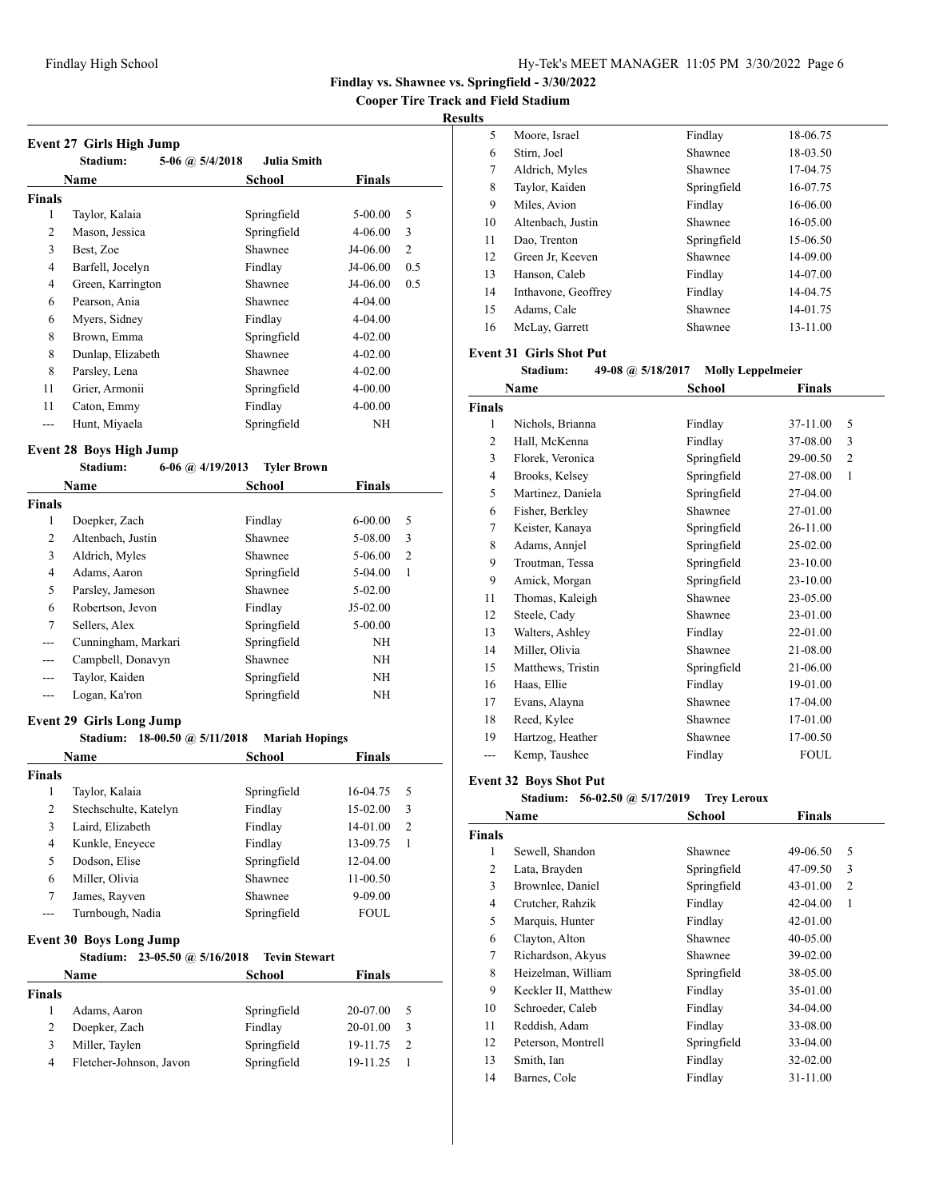**Cooper Tire Track and Field Stadium**

## **Results**

| <b>Event 27 Girls High Jump</b> |                   |                        |             |               |     |
|---------------------------------|-------------------|------------------------|-------------|---------------|-----|
|                                 | Stadium:          | 5-06 $\omega$ 5/4/2018 | Julia Smith |               |     |
|                                 | Name              |                        | School      | <b>Finals</b> |     |
| <b>Finals</b>                   |                   |                        |             |               |     |
| 1                               | Taylor, Kalaia    |                        | Springfield | $5 - 00.00$   | 5   |
| 2                               | Mason, Jessica    |                        | Springfield | $4 - 06.00$   | 3   |
| 3                               | Best, Zoe         |                        | Shawnee     | J4-06.00      | 2   |
| 4                               | Barfell, Jocelyn  |                        | Findlay     | J4-06.00      | 0.5 |
| 4                               | Green, Karrington |                        | Shawnee     | J4-06.00      | 0.5 |
| 6                               | Pearson, Ania     |                        | Shawnee     | $4 - 04.00$   |     |
| 6                               | Myers, Sidney     |                        | Findlay     | $4 - 04.00$   |     |
| 8                               | Brown, Emma       |                        | Springfield | $4 - 02.00$   |     |
| 8                               | Dunlap, Elizabeth |                        | Shawnee     | $4 - 02.00$   |     |
| 8                               | Parsley, Lena     |                        | Shawnee     | $4 - 02.00$   |     |
| 11                              | Grier, Armonii    |                        | Springfield | $4 - 00.00$   |     |
| 11                              | Caton, Emmy       |                        | Findlay     | $4 - 00.00$   |     |
| ---                             | Hunt, Miyaela     |                        | Springfield | NΗ            |     |

# **Event 28 Boys High Jump**

| Stadium: | 6-06 @ $4/19/2013$ | <b>Tyler Brown</b> |
|----------|--------------------|--------------------|
|----------|--------------------|--------------------|

|                | Name                | <b>School</b> | <b>Finals</b> |   |  |
|----------------|---------------------|---------------|---------------|---|--|
| <b>Finals</b>  |                     |               |               |   |  |
| 1              | Doepker, Zach       | Findlay       | $6 - 00.00$   | 5 |  |
| 2              | Altenbach, Justin   | Shawnee       | 5-08.00       | 3 |  |
| 3              | Aldrich, Myles      | Shawnee       | 5-06.00       | 2 |  |
| $\overline{4}$ | Adams, Aaron        | Springfield   | $5-04.00$     | 1 |  |
| 5              | Parsley, Jameson    | Shawnee       | $5-02.00$     |   |  |
| 6              | Robertson, Jevon    | Findlay       | $J5-02.00$    |   |  |
| 7              | Sellers, Alex       | Springfield   | $5 - 00.00$   |   |  |
| ---            | Cunningham, Markari | Springfield   | NΗ            |   |  |
| ---            | Campbell, Donavyn   | Shawnee       | NH            |   |  |
| ---            | Taylor, Kaiden      | Springfield   | NΗ            |   |  |
|                | Logan, Ka'ron       | Springfield   | NΗ            |   |  |

## **Event 29 Girls Long Jump**

# **Stadium: 18-00.50 @ 5/11/2018 Mariah Hopings**

|               | <b>Name</b>                          | <b>School</b>        | <b>Finals</b> |                |
|---------------|--------------------------------------|----------------------|---------------|----------------|
| <b>Finals</b> |                                      |                      |               |                |
| 1             | Taylor, Kalaia                       | Springfield          | 16-04.75      | .5             |
| 2             | Stechschulte, Katelyn                | Findlay              | 15-02.00      | 3              |
| 3             | Laird, Elizabeth                     | Findlay              | 14-01.00      | $\overline{2}$ |
| 4             | Kunkle, Eneyece                      | Findlay              | 13-09.75      | 1              |
| 5             | Dodson, Elise                        | Springfield          | 12-04.00      |                |
| 6             | Miller, Olivia                       | Shawnee              | 11-00.50      |                |
| 7             | James, Rayven                        | Shawnee              | $9 - 09.00$   |                |
|               | Turnbough, Nadia                     | Springfield          | <b>FOUL</b>   |                |
|               | <b>Event 30 Boys Long Jump</b>       |                      |               |                |
|               | $23-05.50$ @ $5/16/2018$<br>Stadium: | <b>Tevin Stewart</b> |               |                |
|               | Name                                 | School               | <b>Finals</b> |                |

|        | Name                    | School      | <b>Finals</b> |     |  |
|--------|-------------------------|-------------|---------------|-----|--|
| Finals |                         |             |               |     |  |
|        | Adams, Aaron            | Springfield | 20-07.00      | - 5 |  |
|        | Doepker, Zach           | Findlay     | 20-01.00      | -3  |  |
| 3      | Miller, Taylen          | Springfield | 19-11.75      |     |  |
| 4      | Fletcher-Johnson, Javon | Springfield | 19-11.25      |     |  |
|        |                         |             |               |     |  |

| ີ  |                     |             |          |
|----|---------------------|-------------|----------|
| 5  | Moore, Israel       | Findlay     | 18-06.75 |
| 6  | Stirn, Joel         | Shawnee     | 18-03.50 |
| 7  | Aldrich, Myles      | Shawnee     | 17-04.75 |
| 8  | Taylor, Kaiden      | Springfield | 16-07.75 |
| 9  | Miles, Avion        | Findlay     | 16-06.00 |
| 10 | Altenbach, Justin   | Shawnee     | 16-05.00 |
| 11 | Dao, Trenton        | Springfield | 15-06.50 |
| 12 | Green Jr. Keeven    | Shawnee     | 14-09.00 |
| 13 | Hanson, Caleb       | Findlay     | 14-07.00 |
| 14 | Inthavone, Geoffrey | Findlay     | 14-04.75 |
| 15 | Adams, Cale         | Shawnee     | 14-01.75 |
| 16 | McLay, Garrett      | Shawnee     | 13-11.00 |
|    |                     |             |          |

#### **Event 31 Girls Shot Put**

## **Stadium: 49-08 @ 5/18/2017 Molly Leppelmeier**

|                | Name              | School      | Finals                     |  |
|----------------|-------------------|-------------|----------------------------|--|
| <b>Finals</b>  |                   |             |                            |  |
| 1              | Nichols, Brianna  | Findlay     | 5<br>37-11.00              |  |
| 2              | Hall, McKenna     | Findlay     | 3<br>37-08.00              |  |
| 3              | Florek, Veronica  | Springfield | 29-00.50<br>$\overline{2}$ |  |
| $\overline{4}$ | Brooks, Kelsey    | Springfield | 27-08.00<br>1              |  |
| 5              | Martinez, Daniela | Springfield | 27-04.00                   |  |
| 6              | Fisher, Berkley   | Shawnee     | 27-01.00                   |  |
| 7              | Keister, Kanaya   | Springfield | 26-11.00                   |  |
| 8              | Adams, Annjel     | Springfield | 25-02.00                   |  |
| 9              | Troutman, Tessa   | Springfield | 23-10.00                   |  |
| 9              | Amick, Morgan     | Springfield | 23-10.00                   |  |
| 11             | Thomas, Kaleigh   | Shawnee     | 23-05.00                   |  |
| 12             | Steele, Cady      | Shawnee     | 23-01.00                   |  |
| 13             | Walters, Ashley   | Findlay     | 22-01.00                   |  |
| 14             | Miller, Olivia    | Shawnee     | 21-08.00                   |  |
| 15             | Matthews, Tristin | Springfield | 21-06.00                   |  |
| 16             | Haas, Ellie       | Findlay     | 19-01.00                   |  |
| 17             | Evans, Alayna     | Shawnee     | 17-04.00                   |  |
| 18             | Reed, Kylee       | Shawnee     | 17-01.00                   |  |
| 19             | Hartzog, Heather  | Shawnee     | 17-00.50                   |  |
| ---            | Kemp, Taushee     | Findlay     | <b>FOUL</b>                |  |
|                |                   |             |                            |  |

## **Event 32 Boys Shot Put**

**Stadium: 56-02.50 @ 5/17/2019 Trey Leroux**

|               | Name                | <b>School</b> | <b>Finals</b>              |  |
|---------------|---------------------|---------------|----------------------------|--|
| <b>Finals</b> |                     |               |                            |  |
| 1             | Sewell, Shandon     | Shawnee       | 5<br>49-06.50              |  |
| 2             | Lata, Brayden       | Springfield   | 3<br>47-09.50              |  |
| 3             | Brownlee, Daniel    | Springfield   | 43-01.00<br>$\overline{c}$ |  |
| 4             | Crutcher, Rahzik    | Findlay       | $42 - 04.00$<br>1          |  |
| 5             | Marquis, Hunter     | Findlay       | 42-01.00                   |  |
| 6             | Clayton, Alton      | Shawnee       | 40-05.00                   |  |
| 7             | Richardson, Akyus   | Shawnee       | 39-02.00                   |  |
| 8             | Heizelman, William  | Springfield   | 38-05.00                   |  |
| 9             | Keckler II, Matthew | Findlay       | 35-01.00                   |  |
| 10            | Schroeder, Caleb    | Findlay       | 34-04.00                   |  |
| 11            | Reddish, Adam       | Findlay       | 33-08.00                   |  |
| 12            | Peterson, Montrell  | Springfield   | 33-04.00                   |  |
| 13            | Smith, Ian          | Findlay       | 32-02.00                   |  |
| 14            | Barnes, Cole        | Findlay       | 31-11.00                   |  |